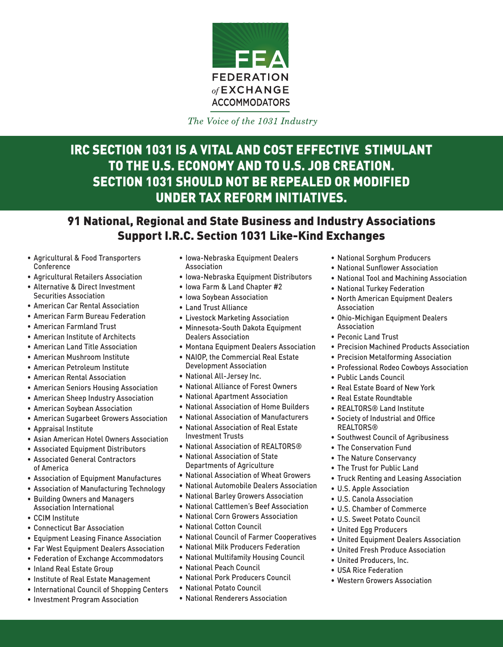

The Voice of the 1031 Industry

## IRC SECTION 1031 IS A VITAL AND COST EFFECTIVE STIMULANT TO THE U.S. ECONOMY AND TO U.S. JOB CREATION. SECTION 1031 SHOULD NOT BE REPEALED OR MODIFIED UNDER TAX REFORM INITIATIVES.

### 91 National, Regional and State Business and Industry Associations Support I.R.C. Section 1031 Like-Kind Exchanges

- • Agricultural & Food Transporters Conference
- • Agricultural Retailers Association
- • Alternative & Direct Investment Securities Association
- • American Car Rental Association
- • American Farm Bureau Federation
- • American Farmland Trust
- • American Institute of Architects
- • American Land Title Association
- • American Mushroom Institute
- • American Petroleum Institute
- • American Rental Association
- • American Seniors Housing Association
- • American Sheep Industry Association
- • American Soybean Association
- • American Sugarbeet Growers Association
- • Appraisal Institute
- • Asian American Hotel Owners Association
- • Associated Equipment Distributors
- • Associated General Contractors of America
- • Association of Equipment Manufactures
- • Association of Manufacturing Technology
- • Building Owners and Managers Association International
- • CCIM Institute
- • Connecticut Bar Association
- • Equipment Leasing Finance Association
- • Far West Equipment Dealers Association
- Federation of Exchange Accommodators
- • Inland Real Estate Group
- • Institute of Real Estate Management
- International Council of Shopping Centers
- • Investment Program Association
- • Iowa-Nebraska Equipment Dealers Association
- • Iowa-Nebraska Equipment Distributors
- • Iowa Farm & Land Chapter #2
- • Iowa Soybean Association
- • Land Trust Alliance
- • Livestock Marketing Association
- • Minnesota-South Dakota Equipment Dealers Association
- • Montana Equipment Dealers Association
- • NAIOP, the Commercial Real Estate Development Association
- • National All-Jersey Inc.
- • National Alliance of Forest Owners
- • National Apartment Association
- • National Association of Home Builders
- • National Association of Manufacturers
- • National Association of Real Estate Investment Trusts
- National Association of REALTORS<sup>®</sup>
- • National Association of State Departments of Agriculture
- • National Association of Wheat Growers
- • National Automobile Dealers Association
- • National Barley Growers Association
- • National Cattlemen's Beef Association
- • National Corn Growers Association
- • National Cotton Council
- • National Council of Farmer Cooperatives
- • National Milk Producers Federation
- • National Multifamily Housing Council
- • National Peach Council
- • National Pork Producers Council
- • National Potato Council
- • National Renderers Association
- • National Sorghum Producers
- • National Sunflower Association
- • National Tool and Machining Association
- • National Turkey Federation
- • North American Equipment Dealers Association
- • Ohio-Michigan Equipment Dealers Association
- • Peconic Land Trust
- • Precision Machined Products Association
- **Precision Metalforming Association**
- • Professional Rodeo Cowboys Association
- • Public Lands Council
- Real Estate Board of New York
- • Real Estate Roundtable
- • REALTORS® Land Institute
- • Society of Industrial and Office REALTORS®
- **Southwest Council of Agribusiness**
- • The Conservation Fund
- The Nature Conservancy
- • The Trust for Public Land
- • Truck Renting and Leasing Association
- • U.S. Apple Association
- • U.S. Canola Association
- • U.S. Chamber of Commerce
- • U.S. Sweet Potato Council
- • United Egg Producers
- • United Equipment Dealers Association
- • United Fresh Produce Association
- • United Producers, Inc.
- • USA Rice Federation
- • Western Growers Association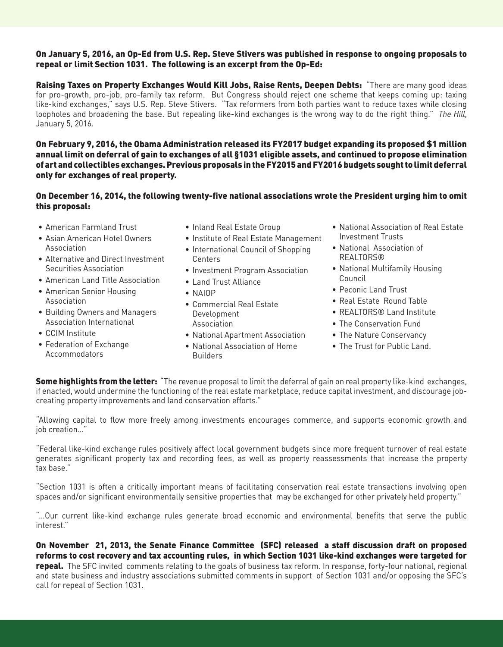#### On January 5, 2016, an Op-Ed from U.S. Rep. Steve Stivers was published in response to ongoing proposals to repeal or limit Section 1031. The following is an excerpt from the Op-Ed:

Raising Taxes on Property Exchanges Would Kill Jobs, Raise Rents, Deepen Debts: "There are many good ideas for pro-growth, pro-job, pro-family tax reform. But Congress should reject one scheme that keeps coming up: taxing like-kind exchanges," says U.S. Rep. Steve Stivers. "Tax reformers from both parties want to reduce taxes while closing loopholes and broadening the base. But repealing like-kind exchanges is the wrong way to do the right thing." *The Hill*, January 5, 2016.

On February 9, 2016, the Obama Administration released its FY2017 budget expanding its proposed \$1 million annual limit on deferral of gain to exchanges of all §1031 eligible assets, and continued to propose elimination of art and collectibles exchanges. Previous proposals in the FY2015 and FY2016 budgets sought to limit deferral only for exchanges of real property.

#### On December 16, 2014, the following twenty-five national associations wrote the President urging him to omit this proposal:

- American Farmland Trust
- Asian American Hotel Owners Association
- Alternative and Direct Investment Securities Association
- American Land Title Association
- American Senior Housing Association
- Building Owners and Managers Association International
- CCIM Institute
- Federation of Exchange Accommodators
- Inland Real Estate Group
- Institute of Real Estate Management
- International Council of Shopping Centers
- Investment Program Association
- Land Trust Alliance
- NAIOP
- Commercial Real Estate Development Association
- National Apartment Association
- National Association of Home Builders
- National Association of Real Estate Investment Trusts
- National Association of REALTORS®
- National Multifamily Housing Council
- Peconic Land Trust
- Real Estate Round Table
- REALTORS® Land Institute
- The Conservation Fund
- The Nature Conservancy
- The Trust for Public Land.

**Some highlights from the letter:** "The revenue proposal to limit the deferral of gain on real property like-kind exchanges, if enacted, would undermine the functioning of the real estate marketplace, reduce capital investment, and discourage jobcreating property improvements and land conservation efforts."

"Allowing capital to flow more freely among investments encourages commerce, and supports economic growth and job creation…"

"Federal like-kind exchange rules positively affect local government budgets since more frequent turnover of real estate generates significant property tax and recording fees, as well as property reassessments that increase the property tax base."

"Section 1031 is often a critically important means of facilitating conservation real estate transactions involving open spaces and/or significant environmentally sensitive properties that may be exchanged for other privately held property."

"…Our current like-kind exchange rules generate broad economic and environmental benefits that serve the public interest."

On November 21, 2013, the Senate Finance Committee (SFC) released a staff discussion draft on proposed reforms to cost recovery and tax accounting rules, in which Section 1031 like-kind exchanges were targeted for repeal. The SFC invited comments relating to the goals of business tax reform. In response, forty-four national, regional and state business and industry associations submitted comments in support of Section 1031 and/or opposing the SFC's call for repeal of Section 1031.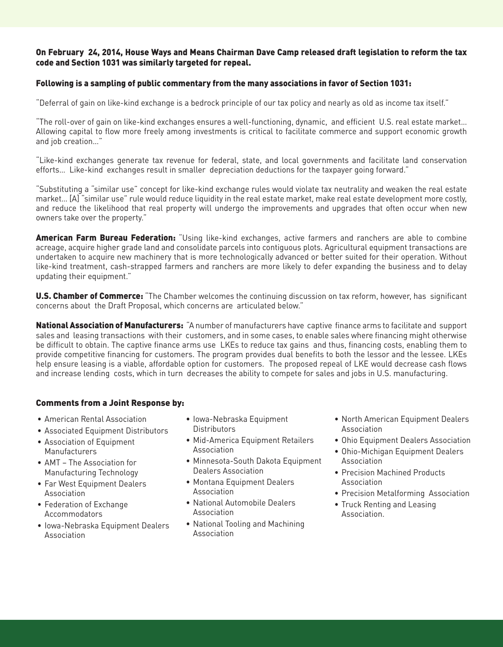#### On February 24, 2014, House Ways and Means Chairman Dave Camp released draft legislation to reform the tax code and Section 1031 was similarly targeted for repeal.

#### Following is a sampling of public commentary from the many associations in favor of Section 1031:

"Deferral of gain on like-kind exchange is a bedrock principle of our tax policy and nearly as old as income tax itself."

"The roll-over of gain on like-kind exchanges ensures a well-functioning, dynamic, and efficient U.S. real estate market… Allowing capital to flow more freely among investments is critical to facilitate commerce and support economic growth and job creation…"

"Like-kind exchanges generate tax revenue for federal, state, and local governments and facilitate land conservation efforts… Like-kind exchanges result in smaller depreciation deductions for the taxpayer going forward."

"Substituting a "similar use" concept for like-kind exchange rules would violate tax neutrality and weaken the real estate market… [A] "similar use" rule would reduce liquidity in the real estate market, make real estate development more costly, and reduce the likelihood that real property will undergo the improvements and upgrades that often occur when new owners take over the property."

American Farm Bureau Federation: "Using like-kind exchanges, active farmers and ranchers are able to combine acreage, acquire higher grade land and consolidate parcels into contiguous plots. Agricultural equipment transactions are undertaken to acquire new machinery that is more technologically advanced or better suited for their operation. Without like-kind treatment, cash-strapped farmers and ranchers are more likely to defer expanding the business and to delay updating their equipment."

**U.S. Chamber of Commerce:** "The Chamber welcomes the continuing discussion on tax reform, however, has significant concerns about the Draft Proposal, which concerns are articulated below."

National Association of Manufacturers: "A number of manufacturers have captive finance arms to facilitate and support sales and leasing transactions with their customers, and in some cases, to enable sales where financing might otherwise be difficult to obtain. The captive finance arms use LKEs to reduce tax gains and thus, financing costs, enabling them to provide competitive financing for customers. The program provides dual benefits to both the lessor and the lessee. LKEs help ensure leasing is a viable, affordable option for customers. The proposed repeal of LKE would decrease cash flows and increase lending costs, which in turn decreases the ability to compete for sales and jobs in U.S. manufacturing.

#### Comments from a Joint Response by:

- American Rental Association
- Associated Equipment Distributors
- Association of Equipment Manufacturers
- AMT The Association for Manufacturing Technology
- Far West Equipment Dealers **Association**
- Federation of Exchange Accommodators
- Iowa-Nebraska Equipment Dealers Association
- Iowa-Nebraska Equipment **Distributors**
- Mid-America Equipment Retailers Association
- Minnesota-South Dakota Equipment Dealers Association
- Montana Equipment Dealers **Association**
- National Automobile Dealers Association
- National Tooling and Machining Association
- North American Equipment Dealers Association
- Ohio Equipment Dealers Association
- Ohio-Michigan Equipment Dealers Association
- Precision Machined Products Association
- Precision Metalforming Association
- Truck Renting and Leasing Association.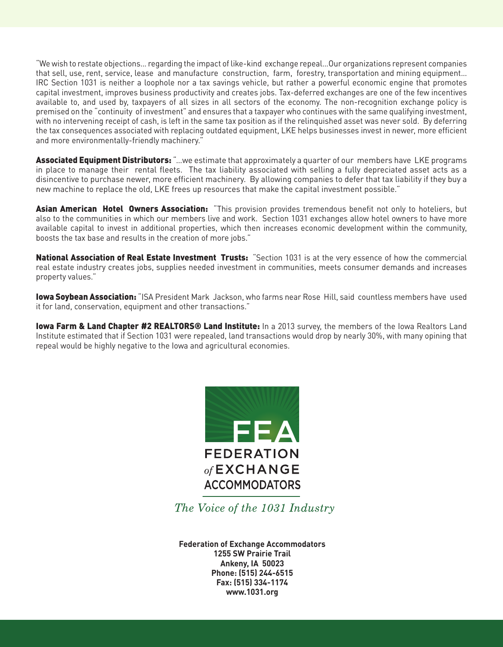"We wish to restate objections… regarding the impact of like-kind exchange repeal…Our organizations represent companies that sell, use, rent, service, lease and manufacture construction, farm, forestry, transportation and mining equipment… IRC Section 1031 is neither a loophole nor a tax savings vehicle, but rather a powerful economic engine that promotes capital investment, improves business productivity and creates jobs. Tax-deferred exchanges are one of the few incentives available to, and used by, taxpayers of all sizes in all sectors of the economy. The non-recognition exchange policy is premised on the "continuity of investment" and ensures that a taxpayer who continues with the same qualifying investment, with no intervening receipt of cash, is left in the same tax position as if the relinquished asset was never sold. By deferring the tax consequences associated with replacing outdated equipment, LKE helps businesses invest in newer, more efficient and more environmentally-friendly machinery."

Associated Equipment Distributors: "...we estimate that approximately a quarter of our members have LKE programs in place to manage their rental fleets. The tax liability associated with selling a fully depreciated asset acts as a disincentive to purchase newer, more efficient machinery. By allowing companies to defer that tax liability if they buy a new machine to replace the old, LKE frees up resources that make the capital investment possible."

Asian American Hotel Owners Association: "This provision provides tremendous benefit not only to hoteliers, but also to the communities in which our members live and work. Section 1031 exchanges allow hotel owners to have more available capital to invest in additional properties, which then increases economic development within the community, boosts the tax base and results in the creation of more jobs."

National Association of Real Estate Investment Trusts: "Section 1031 is at the very essence of how the commercial real estate industry creates jobs, supplies needed investment in communities, meets consumer demands and increases property values."

Iowa Soybean Association: "ISA President Mark Jackson, who farms near Rose Hill, said countless members have used it for land, conservation, equipment and other transactions."

Iowa Farm & Land Chapter #2 REALTORS<sup>®</sup> Land Institute: In a 2013 survey, the members of the Iowa Realtors Land Institute estimated that if Section 1031 were repealed, land transactions would drop by nearly 30%, with many opining that repeal would be highly negative to the Iowa and agricultural economies.



The Voice of the 1031 Industry

**Federation of Exchange Accommodators 1255 SW Prairie Trail Ankeny, IA 50023 Phone: (515) 244-6515 Fax: (515) 334-1174 www.1031.org**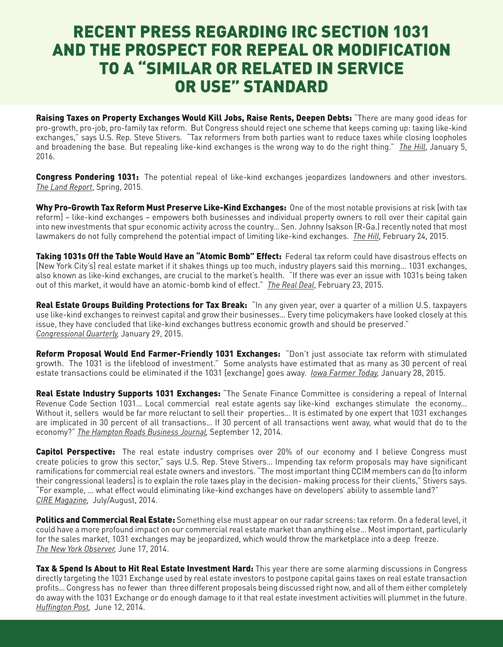# RECENT PRESS REGARDING IRC SECTION 1031 AND THE PROSPECT FOR REPEAL OR MODIFICATION TO A "SIMILAR OR RELATED IN SERVICE OR USE" STANDARD

Raising Taxes on Property Exchanges Would Kill Jobs, Raise Rents, Deepen Debts: "There are many good ideas for pro-growth, pro-job, pro-family tax reform. But Congress should reject one scheme that keeps coming up: taxing like-kind exchanges," says U.S. Rep. Steve Stivers. "Tax reformers from both parties want to reduce taxes while closing loopholes and broadening the base. But repealing like-kind exchanges is the wrong way to do the right thing." *The Hill*, January 5, 2016.

Congress Pondering 1031: The potential repeal of like-kind exchanges jeopardizes landowners and other investors. *The Land Report*, Spring, 2015.

Why Pro-Growth Tax Reform Must Preserve Like-Kind Exchanges: One of the most notable provisions at risk [with tax reform] – like-kind exchanges – empowers both businesses and individual property owners to roll over their capital gain into new investments that spur economic activity across the country… Sen. Johnny Isakson (R-Ga.) recently noted that most lawmakers do not fully comprehend the potential impact of limiting like-kind exchanges. *The Hill*, February 24, 2015.

Taking 1031s Off the Table Would Have an "Atomic Bomb" Effect: Federal tax reform could have disastrous effects on [New York City's] real estate market if it shakes things up too much, industry players said this morning… 1031 exchanges, also known as like-kind exchanges, are crucial to the market's health. "If there was ever an issue with 1031s being taken out of this market, it would have an atomic-bomb kind of effect." *The Real Deal*, February 23, 2015.

Real Estate Groups Building Protections for Tax Break: "In any given year, over a quarter of a million U.S. taxpayers use like-kind exchanges to reinvest capital and grow their businesses… Every time policymakers have looked closely at this issue, they have concluded that like-kind exchanges buttress economic growth and should be preserved." *Congressional Quarterly,* January 29, 2015.

Reform Proposal Would End Farmer-Friendly 1031 Exchanges: "Don't just associate tax reform with stimulated growth. The 1031 is the lifeblood of investment." Some analysts have estimated that as many as 30 percent of real estate transactions could be eliminated if the 1031 [exchange] goes away. *Iowa Farmer Today,* January 28, 2015.

Real Estate Industry Supports 1031 Exchanges: "The Senate Finance Committee is considering a repeal of Internal Revenue Code Section 1031... Local commercial real estate agents say like-kind exchanges stimulate the economy... Without it, sellers would be far more reluctant to sell their properties… It is estimated by one expert that 1031 exchanges are implicated in 30 percent of all transactions… If 30 percent of all transactions went away, what would that do to the economy?" *The Hampton Roads Business Journal,* September 12, 2014.

**Capitol Perspective:** The real estate industry comprises over 20% of our economy and I believe Congress must create policies to grow this sector," says U.S. Rep. Steve Stivers… Impending tax reform proposals may have significant ramifications for commercial real estate owners and investors. "The most important thing CCIM members can do [to inform their congressional leaders] is to explain the role taxes play in the decision- making process for their clients," Stivers says. "For example, … what effect would eliminating like-kind exchanges have on developers' ability to assemble land?" *CIRE Magazine,* July/August, 2014.

Politics and Commercial Real Estate: Something else must appear on our radar screens: tax reform. On a federal level, it could have a more profound impact on our commercial real estate market than anything else… Most important, particularly for the sales market, 1031 exchanges may be jeopardized, which would throw the marketplace into a deep freeze. *The New York Observer,* June 17, 2014.

Tax & Spend Is About to Hit Real Estate Investment Hard: This year there are some alarming discussions in Congress directly targeting the 1031 Exchange used by real estate investors to postpone capital gains taxes on real estate transaction profits… Congress has no fewer than three different proposals being discussed right now, and all of them either completely do away with the 1031 Exchange or do enough damage to it that real estate investment activities will plummet in the future. Huffington Post*,* June 12, 2014.